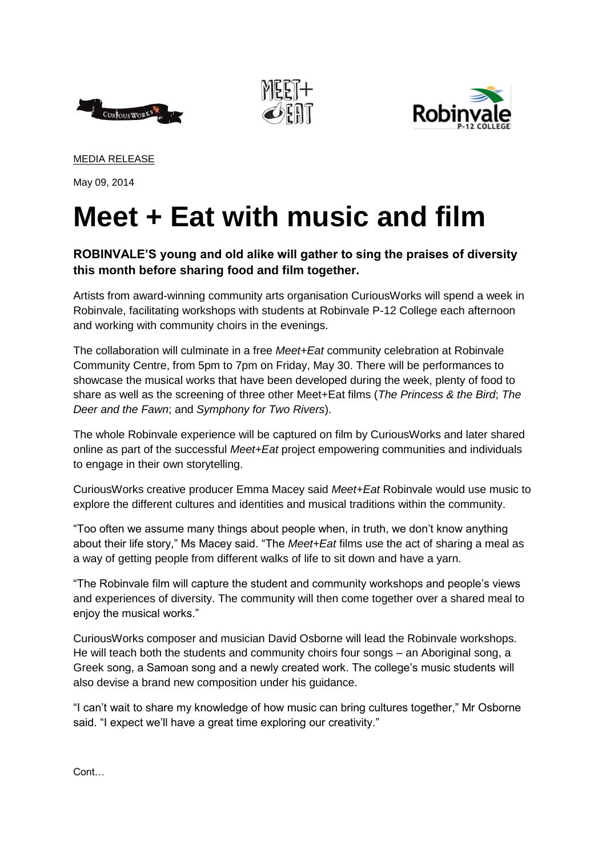





MEDIA RELEASE

May 09, 2014

## **Meet + Eat with music and film**

## **ROBINVALE'S young and old alike will gather to sing the praises of diversity this month before sharing food and film together.**

Artists from award-winning community arts organisation CuriousWorks will spend a week in Robinvale, facilitating workshops with students at Robinvale P-12 College each afternoon and working with community choirs in the evenings.

The collaboration will culminate in a free *Meet+Eat* community celebration at Robinvale Community Centre, from 5pm to 7pm on Friday, May 30. There will be performances to showcase the musical works that have been developed during the week, plenty of food to share as well as the screening of three other Meet+Eat films (*The Princess & the Bird*; *The Deer and the Fawn*; and *Symphony for Two Rivers*).

The whole Robinvale experience will be captured on film by CuriousWorks and later shared online as part of the successful *Meet+Eat* project empowering communities and individuals to engage in their own storytelling.

CuriousWorks creative producer Emma Macey said *Meet+Eat* Robinvale would use music to explore the different cultures and identities and musical traditions within the community.

"Too often we assume many things about people when, in truth, we don't know anything about their life story," Ms Macey said. "The *Meet+Eat* films use the act of sharing a meal as a way of getting people from different walks of life to sit down and have a yarn.

"The Robinvale film will capture the student and community workshops and people's views and experiences of diversity. The community will then come together over a shared meal to enjoy the musical works."

CuriousWorks composer and musician David Osborne will lead the Robinvale workshops. He will teach both the students and community choirs four songs – an Aboriginal song, a Greek song, a Samoan song and a newly created work. The college's music students will also devise a brand new composition under his guidance.

"I can't wait to share my knowledge of how music can bring cultures together," Mr Osborne said. "I expect we'll have a great time exploring our creativity."

Cont…